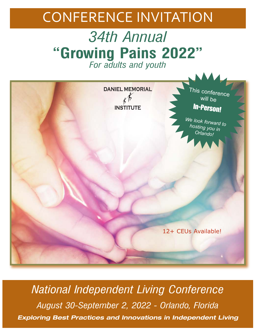## CONFERENCE INVITATION

## *34th Annual*  **"Growing Pains 2022"** *For adults and youth*



*National Independent Living Conference August 30-September 2, 2022 - Orlando, Florida* Exploring Best Practices and Innovations in Independent Living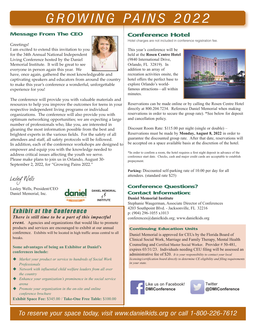## *G R OW IN G PA IN S 2 0 2 2*

#### Message From The CEO

#### Greetings!

I am excited to extend this invitation to you for the 34th Annual National Independent Living Conference hosted by the Daniel Memorial Institute. It will be great to see everyone in person again this year. We



have, once again, gathered the most knowledgeable and captivating speakers and educators from around the country to make this year's conference a wonderful, unforgettable experience for you!

The conference will provide you with valuable materials and resources to help you improve the outcomes for teens in your respective independent living programs or individual organizations. The conference will also provide you with optimum networking opportunities; we are expecting a large number of professionals who, like you, are interested in gleaning the most information possible from the best and brightest experts in the various fields. For the safety of all attendees and staff, all safety protocols will be followed. In addition, each of the conference workshops are designed to empower and equip you with the knowledge needed to address critical issues affecting the youth we serve. Please make plans to join us in Orlando, August 30- September 2, 2022, for "Growing Pains 2022."

*Lesley Wells* 

Lesley Wells, President/CEO Daniel Memorial, Inc.



 $k\tilde{b}$ 

### Exhibit at the Conference

*There is still time to be a part of this impactful* 

*event.* Agencies and organizations that would like to promote products and services are encouraged to exhibit at our annual conference. Exhibits will be located in high traffic areas central to all breaks.

#### **Some advantages of being an Exhibitor at Daniel's conferences include:**

- ◆ *Market your product or service to hundreds of Social Work Professionals*
- ◆ *Network with influential child welfare leaders from all over the country*
- u *Enhance your organization's prominence in the social service arena*
- ◆ *Promote your organization in the on-site and online conference brochure*

**Exhibit Space Fee:** \$345.00 / **Take-One Free Table:** \$100.00

### Conference Hotel

Hotel charges are not included in conference registration fee.

This year's conference will be held at the **Rosen Centre Hotel** (9840 International Drive, Orlando, FL 32819). In addition to an array of recreation activities onsite, the hotel offers the perfect base to explore Orlando's worldfamous attractions—all within minutes.



Reservations can be made online or by calling the Rosen Centre Hotel directly at 800.204.7234. Reference Daniel Memorial when making reservations in order to secure the group rate). \*See below for deposit and cancellation policy.

Discount Room Rate: \$115.00 per night (single or double) – Reservations must be made by **Monday, August 8, 2022** in order to guarantee the discounted group rate. After that date, reservations will be accepted on a space available basis at the discretion of the hotel.

\*In order to confirm a room, the hotel requires a first night deposit in advance of the conference start date. Checks, cash and major credit cards are acceptable to establish prepayment.

**Parking:** Discounted self-parking rate of 10.00 per day for all attendees. (standard rate \$25)

### Conference Questions?

#### Contact Information: **Daniel Memorial Institute**

Stephanie Waugerman, Associate Director of Conferences 4203 Southpoint Blvd. - Jacksonville, FL 32216 p: (904) 296-1055 x1013 conferences@danielkids.org; www.danielkids.org

#### **Continuing Education Units**

Daniel Memorial is approved for CEUs by the Florida Board of Clinical Social Work, Marriage and Family Therapy, Mental Health Counseling and Certified Master Social Worker. Provider # 50-481, expires 03/31/23. Individuals needing CEU filing will be assessed an administrative fee of \$20. *It is your responsibility to contact your local licensing/certification board directly to determine CE eligibility and filing requirements in your state.*





**@DMIConference**

*To reserve your space today, visit www.danielkids.org or call 1-800-226-7612*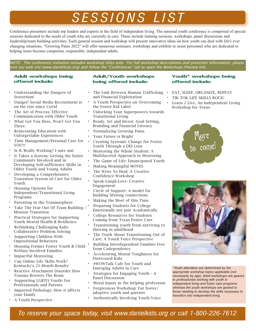## *S ES S I O N S L I S T*

Conference presenters include top leaders and experts in the field of independent living. The national youth conference is comprised of special sessions dedicated to the needs of youth who are currently in care. These include training sessions, workshops, panel discussions and leadership/team building activities. Each general session and workshop will present innovative ideas on how youth can deal with life's ever changing situations. "Growing Pains 2022" will offer numerous seminars, workshops and exhibits to assist personnel who are dedicated to helping teens become competent, responsible, independent adults.

NOTE: The conference invitation includes workshop titles only. For full workshop descriptions and presenter information, please visit our web site (www.danielkids.org) and follow the "Conferences" tab to open the Workshops Preview link.

#### Adult workshops being offered include:

- Understanding the Dangers of Sextortion!
- Danger! Social Media Recruitment is on the rise since Covid
- The Art of Process: Effective Communication with Older Youth
- What Got You Here, Won't Get You There.
- Reinventing Education with Unforgettable Experiences
- Time Management/Personal Care for YOU!!!
- Is IL Really Working? I sure am!
- It Takes a System; Getting the Entire Community Involved and in Developing Self-sufficiency Skills in Older Youth and Young Adults
- Developing a Comprehensive Transition System of Care for Older Youth
- Housing Options for Independent/Transitional Living Programs
- Parenting in the Traumasphere
- Take The Fear Out Of Team Building / Mission Transition
- Practical Strategies for Supporting Youth Mental Health & Resilience
- Rethinking Challenging Kids: Collaborative Problem Solving
- Supporting Children With Oppositional Behaviors
- Housing Former Foster Youth & Child Welfare Involved Families
- Impactful Mentoring
- Can Online Life Skills Work? Kentucky's 21-Month Results
- Reactive Attachment Disorder How Trauma Rewires The Brain
- Supporting LGBTQ Youth: For Professionals and Parents
- Imported Pathology: How it affects your family
- A Youth Perspective

#### Adult/Youth workshops being offered include:

- The Link Between Human Trafficking EAT, SLEEP, ORGANIZE, REPEAT and Financial Exploitation
- A Youth Perspective on Overcoming the Foster Kid Label
- Unlocking Your Superpowers towards Transitional Living
- Ready, Set and Invest. Goal Setting, Branding and Financial Literacy
- Normalizing Growing Pains
- Your Future is Bright
- Creating Systemic Change for Foster Youth Through a DEI Lens
- Mentoring the Whole Student: A Multifaceted Approach to Mentoring
- The Game of Life: Emancipated Youth
- Making Meaningful MOVES
- The Write To Heal: A Creative Confidence Workshop
- Speak-Laugh-Love: Creative Engagement
- Circle of Support: A model for building lifelong connections
- Making the Most of this Time
- Preparing Students for College Emotionally not just Academically
- College Resources for Students Coming from Texas Foster Care
- Transitioning youth from surviving to thriving in adulthood
- The Truth About Transitioning Out of Care: A Youth Voice Perspective
- Building Interdependent Families Free from Codependency
- Accelerating Mental Toughness for Distressed Kids
- #WOWTalk Cafe for Youth and Emerging Adults in Care
- Strategies for Engaging Youth A Panel Discussion
- Moral Injury in the helping profession
- Forgiveness Workshop: For foster/ adoptive youth and parents
- Authentically Involving Youth Voice

#### Youth\* workshops being offered include:

- 
- TIK TOK LIFE SKILLS ROCK!
- Learn 2 Live, An Independent Living Workshop for Teens





**\****Youth attendees are determined by the appropriate workshop topics applicable (not necessarily by age). Adult workshops are geared to professionals working with youth in independent living and foster care programs whereas the youth workshops are geared to those needing to develop the skills necessary to transition into independent living.*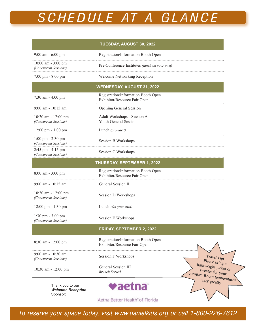# *S CHE D UL E AT A G L A N CE*

|                                                              | TUESDAY, AUGUST 30, 2022                                                                                               |  |  |
|--------------------------------------------------------------|------------------------------------------------------------------------------------------------------------------------|--|--|
| 9:00 am - 6:00 pm                                            | Registration/Information Booth Open                                                                                    |  |  |
| $10:00$ am $-3:00$ pm<br>(Concurrent Sessions)               | Pre-Conference Institutes (lunch on your own)                                                                          |  |  |
| 7:00 pm - 8:00 pm                                            | Welcome Networking Reception                                                                                           |  |  |
|                                                              | <b>WEDNESDAY, AUGUST 31, 2022</b>                                                                                      |  |  |
| 7:30 am - 4:00 pm                                            | Registration/Information Booth Open<br>Exhibitor/Resource Fair Open                                                    |  |  |
| $9:00$ am - 10:15 am                                         | <b>Opening General Session</b>                                                                                         |  |  |
| 10:30 am - 12:00 pm<br>(Concurrent Sessions)                 | Adult Workshops - Session A<br><b>Youth General Session</b>                                                            |  |  |
| 12:00 pm - 1:00 pm                                           | Lunch (provided)                                                                                                       |  |  |
| $1:00 \text{ pm} - 2:30 \text{ pm}$<br>(Concurrent Sessions) | Session B Workshops                                                                                                    |  |  |
| 2:45 pm - 4:15 pm<br>(Concurrent Sessions)                   | Session C Workshops                                                                                                    |  |  |
|                                                              | THURSDAY, SEPTEMBER 1, 2022                                                                                            |  |  |
| 8:00 am - 3:00 pm                                            | Registration/Information Booth Open<br>Exhibitor/Resource Fair Open                                                    |  |  |
| $9:00$ am - 10:15 am                                         | General Session II                                                                                                     |  |  |
| 10:30 am - 12:00 pm<br>(Concurrent Sessions)                 | Session D Workshops                                                                                                    |  |  |
| 12:00 pm - 1:30 pm                                           | Lunch (On your own)                                                                                                    |  |  |
| 1:30 pm - 3:00 pm<br>(Concurrent Sessions)                   | <b>Session E Workshops</b>                                                                                             |  |  |
|                                                              | FRIDAY, SEPTEMBER 2, 2022                                                                                              |  |  |
| 8:30 am - 12:00 pm                                           | Registration/Information Booth Open<br>Exhibitor/Resource Fair Open                                                    |  |  |
| $9:00$ am - 10:30 am<br>(Concurrent Sessions)                | <b>Session F Workshops</b><br><b>Travel Tip:</b><br>Please bring a                                                     |  |  |
| 10:30 am - 12:00 pm                                          | lightweight jacket or<br>General Session III<br>sweater for your<br><b>Brunch Served</b><br>comfort. Room temperatures |  |  |
| Thank you to our<br><b>Welcome Reception</b><br>Sponsor:     | vary greatly.<br>raetna                                                                                                |  |  |
|                                                              |                                                                                                                        |  |  |

Aetna Better Health<sup>®</sup> of Florida

*To reserve your space today, visit www.danielkids.org or call 1-800-226-7612*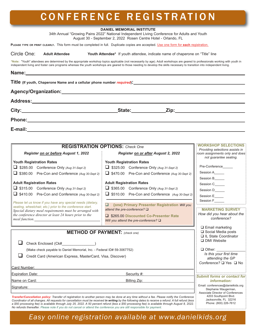### C O N F E R E N C E R E G I S T R AT I O N

|                                                                                                                         |                                                           | <b>DANIEL MEMORIAL INSTITUTE</b><br>34th Annual "Growing Pains 2022" National Independent Living Conference for Adults and Youth                                                                                                                                                                      |                                                                                             |  |
|-------------------------------------------------------------------------------------------------------------------------|-----------------------------------------------------------|-------------------------------------------------------------------------------------------------------------------------------------------------------------------------------------------------------------------------------------------------------------------------------------------------------|---------------------------------------------------------------------------------------------|--|
|                                                                                                                         |                                                           | August 30 - September 2, 2022 Rosen Centre Hotel - Orlando, FL<br>PLEASE TYPE OR PRINT CLEARLY. This form must be completed in full. Duplicate copies are accepted. Use one form for each registration.                                                                                               |                                                                                             |  |
| Circle One:<br><b>Adult Attendee</b>                                                                                    |                                                           | Youth Attendee* If youth attendee, indicate name of chaperone on "Title" line                                                                                                                                                                                                                         |                                                                                             |  |
|                                                                                                                         |                                                           | *Note: "Youth" attendees are determined by the appropriate workshop topics applicable (not necessarily by age). Adult workshops are geared to professionals working with youth in                                                                                                                     |                                                                                             |  |
|                                                                                                                         |                                                           | independent living and foster care programs whereas the youth workshops are geared to those needing to develop the skills necessary to transition into independent living.                                                                                                                            |                                                                                             |  |
|                                                                                                                         |                                                           |                                                                                                                                                                                                                                                                                                       |                                                                                             |  |
|                                                                                                                         |                                                           |                                                                                                                                                                                                                                                                                                       |                                                                                             |  |
|                                                                                                                         |                                                           | Agency/Organization: Agency/Organization:                                                                                                                                                                                                                                                             |                                                                                             |  |
|                                                                                                                         |                                                           |                                                                                                                                                                                                                                                                                                       |                                                                                             |  |
|                                                                                                                         |                                                           |                                                                                                                                                                                                                                                                                                       |                                                                                             |  |
|                                                                                                                         |                                                           |                                                                                                                                                                                                                                                                                                       |                                                                                             |  |
|                                                                                                                         |                                                           |                                                                                                                                                                                                                                                                                                       |                                                                                             |  |
|                                                                                                                         |                                                           |                                                                                                                                                                                                                                                                                                       |                                                                                             |  |
|                                                                                                                         |                                                           | <b>REGISTRATION OPTIONS:</b> Check One                                                                                                                                                                                                                                                                | <b>WORKSHOP SELECTIONS</b>                                                                  |  |
| Register on or before August 1, 2022                                                                                    |                                                           | <b>Register on or after August 2, 2022</b>                                                                                                                                                                                                                                                            | Providing selections assists in<br>room assignments only and does<br>not guarantee seating. |  |
| <b>Youth Registration Rates</b>                                                                                         |                                                           | <b>Youth Registration Rates</b>                                                                                                                                                                                                                                                                       |                                                                                             |  |
| $\Box$ \$285.00 Conference Only (Aug 31-Sept 2)                                                                         |                                                           | \$325.00 Conference Only (Aug 31-Sept 2)                                                                                                                                                                                                                                                              | Pre-Conference______                                                                        |  |
| $\Box$ \$380.00 Pre-Con and Conference (Aug 30-Sept 2)                                                                  |                                                           | □ \$470.00 Pre-Con and Conference (Aug 30-Sept 2)                                                                                                                                                                                                                                                     | Session A_____<br>Session B_____                                                            |  |
| <b>Adult Registration Rates</b>                                                                                         |                                                           | <b>Adult Registration Rates</b>                                                                                                                                                                                                                                                                       | Session C_____                                                                              |  |
| S315.00 Conference Only (Aug 31-Sept 2)                                                                                 |                                                           | S365.00 Conference Only (Aug 31-Sept 2)                                                                                                                                                                                                                                                               | Session D_____                                                                              |  |
| $\Box$ \$410.00 Pre-Con and Conference (Aug 30-Sept 2)                                                                  |                                                           | □ \$510.00 Pre-Con and Conference (Aug 30-Sept 2)                                                                                                                                                                                                                                                     | Session E_____                                                                              |  |
| Please let us know if you have any special needs (dietary,<br>seating, wheelchair, etc.) prior to the conference start. |                                                           | □ {one} Primary Presenter Registration Will you                                                                                                                                                                                                                                                       | Session F_____                                                                              |  |
| Special dietary meal requirements must be arranged with                                                                 |                                                           | attend the pre-conference? $\square$                                                                                                                                                                                                                                                                  | <b>MARKETING SURVEY</b>                                                                     |  |
| the conference director at least 24 hours prior to the                                                                  |                                                           | S265.00 Discounted Co-Presenter Rate                                                                                                                                                                                                                                                                  | How did you hear about the<br>conference?                                                   |  |
| meal function.                                                                                                          |                                                           | Will you attend the pre-conference? $\square$                                                                                                                                                                                                                                                         |                                                                                             |  |
|                                                                                                                         |                                                           | <b>METHOD OF PAYMENT:</b> (check one)                                                                                                                                                                                                                                                                 | $\Box$ Email marketing<br>□ Social Media posts                                              |  |
|                                                                                                                         | □ IL State Coordinator                                    |                                                                                                                                                                                                                                                                                                       |                                                                                             |  |
| Check Enclosed (Ck#_______________)                                                                                     | □ DMI Website                                             |                                                                                                                                                                                                                                                                                                       |                                                                                             |  |
| (Make check payable to Daniel Memorial, Inc. - Federal ID# 59-3067752)                                                  | $\Box$ Other: $\_\_\_\_\_\_\_\_\_\_\_\_\_$                |                                                                                                                                                                                                                                                                                                       |                                                                                             |  |
| Credit Card (American Express, MasterCard, Visa, Discover)                                                              | Is this your first time<br>attending the GP               |                                                                                                                                                                                                                                                                                                       |                                                                                             |  |
|                                                                                                                         |                                                           |                                                                                                                                                                                                                                                                                                       | Conference? □ Yes □ No                                                                      |  |
| Card Number:<br>Expiration Date: <b>Expiration</b> Date:                                                                |                                                           | Security #:                                                                                                                                                                                                                                                                                           |                                                                                             |  |
| Name on Card: Name on Card:<br>Billing Zip:                                                                             |                                                           |                                                                                                                                                                                                                                                                                                       | <b>Submit forms or contact for</b><br><i>information:</i>                                   |  |
| Signature:                                                                                                              | Email: conferences@danielkids.org<br>Stephanie Waugerman, |                                                                                                                                                                                                                                                                                                       |                                                                                             |  |
|                                                                                                                         |                                                           | Transfer/Cancellation policy: Transfer of registration to another person may be done at any time without a fee. Please notify the Conference<br>Coordinator of all changes. All requests for cancellation must be received in writing by the following dates to receive a refund. A full refund (less | Associate Director of Conferences<br>4203 Southpoint Blvd.<br>Jacksonville, FL 32216        |  |

*a \$50 processing fee) is available through July 25, 2022. A 50 percent refund (less a \$50 processing fee) is available through August 8, 2022. No refunds thereafter. Please note if you do not cancel or attend the conference you are still responsible for payment.*

### *Easy online registration available at www.danielkids.org*

Phone: (800) 226-7612